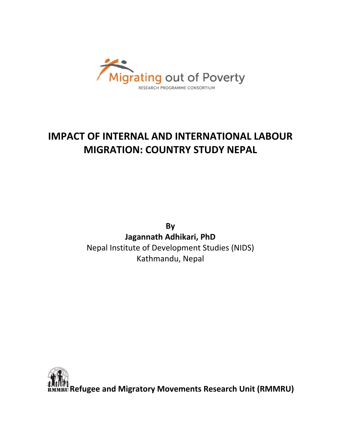

# **IMPACT OF INTERNAL AND INTERNATIONAL LABOUR MIGRATION: COUNTRY STUDY NEPAL**

**By Jagannath Adhikari, PhD** Nepal Institute of Development Studies (NIDS) Kathmandu, Nepal

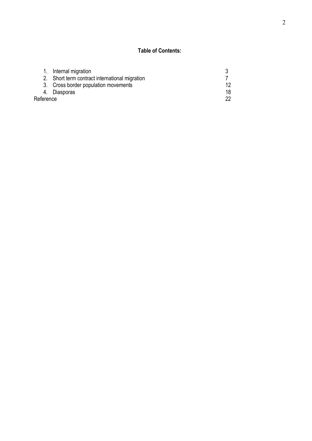# **Table of Contents:**

|           | 1. Internal migration                          |    |
|-----------|------------------------------------------------|----|
|           | 2. Short term contract international migration |    |
|           | 3. Cross border population movements           | 12 |
|           | 4. Diasporas                                   | 18 |
| Reference | 22                                             |    |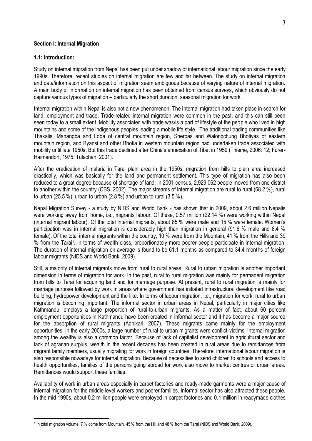#### **Section I: Internal Migration**

#### **1.1: Introduction:**

<u>.</u>

Study on internal migration from Nepal has been put under shadow of international labour migration since the early 1990s. Therefore, recent studies on internal migration are few and far between. The study on internal migration and data/information on this aspect of migration seem ambiguous because of varying nature of internal migration. A main body of information on internal migration has been obtained from census surveys, which obviously do not capture various types of migration – particularly the short duration, seasonal migration for work.

Internal migration within Nepal is also not a new phenomenon. The internal migration had taken place in search for land, employment and trade. Trade-related internal migration were common in the past, and this can still been seen today to a small extent. Mobility associated with trade was/is a part of lifestyle of the people who lived in high mountains and some of the indigenous peoples leading a mobile life style. The traditional trading communities like Thakalis, Manangba and Loba of central mountain region, Sherpas and Walongchung Bhotiyas of eastern mountain region, and Byansi and other Bhotia in western mountain region had undertaken trade associated with mobility until late 1950s. But this trade declined after China"s annexation of Tibet in 1959 (Thieme, 2006: 12; Furer-Haimendorf, 1975; Tulachan, 2001).

After the eradication of malaria in Tarai plain area in the 1950s, migration from hills to plain area increased drastically, which was basically for the land and permanent settlement. This type of migration has also been reduced to a great degree because of shortage of land. In 2001 census, 2,929,062 people moved from one district to another within the country (CBS, 2002). The major streams of internal migration are rural to rural (68.2 %), rural to urban (25.5 %), urban to urban (2.8 %) and urban to rural (3.5 %).

Nepal Migration Survey - a study by NIDS and World Bank - has shown that in 2009, about 2.6 million Nepalis were working away from home, i.e., migrants labour. Of these, 0.57 million (22.14 %) were working within Nepal (internal migrant labour). Of the total internal migrants, about 85 % were male and 15 % were female. Women"s participation was in internal migration is considerably high than migration in general (91.6 % male and 8.4 % female). Of the total internal migrants within the country, 10 % were from the Mountain, 41 % from the Hills and 39 % from the Tarai<sup>1</sup> . In terms of wealth class, proportionately more poorer people participate in internal migration. The duration of internal migration on average is found to be 61.1 months as compared to 34.4 months of foreign labour migrants (NIDS and World Bank, 2009).

Still, a majority of internal migrants move from rural to rural areas. Rural to urban migration is another important dimension in terms of migration for work. In the past, rural to rural migration was mainly for permanent migration from hills to Terai for acquiring land and for marriage purpose. At present, rural to rural migration is mainly for marriage purpose followed by work in areas where government has initiated infrastructural development like road building, hydropower development and the like. In terms of labour migration, i.e., migration for work, rural to urban migration is becoming important. The informal sector in urban areas in Nepal, particularly in major cities like Kathmandu, employs a large proportion of rural-to-urban migrants. As a matter of fact, about 60 percent employment opportunities in Kathmandu have been created in informal sector and it has become a major source for the absorption of rural migrants (Adhikari, 2007). These migrants came mainly for the employment opportunities. In the early 2000s, a large number of rural to urban migrants were conflict-victims. Internal migration among the wealthy is also a common factor. Because of lack of capitalist development in agricultural sector and lack of agrarian surplus, wealth in the recent decades has been created in rural areas due to remittances from migrant family members, usually migrating for work in foreign countries. Therefore, international labour migration is also responsible nowadays for internal migration. Because of necessities to send children to schools and access to health opportunities, families of the persons going abroad for work also move to market centres or urban areas. Remittances would support these families.

Availability of work in urban areas especially in carpet factories and ready-made garments were a major cause of internal migration for the middle level workers and poorer families. Informal sector has also attracted these people. In the mid 1990s, about 0.2 million people were employed in carpet factories and 0.1 million in readymade clothes

<sup>1</sup> In total migration volume, 7 % come from Mountain, 45 % from the Hill and 48 % from the Tarai (NIDS and World Bank, 2009).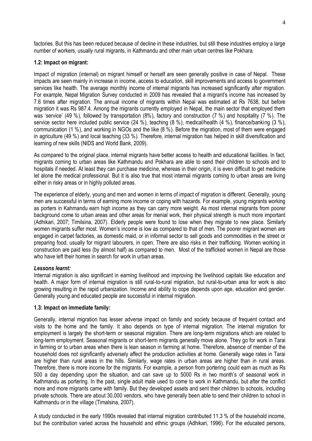factories. But this has been reduced because of decline in these industries, but still these industries employ a large number of workers, usually rural migrants, in Kathmandu and other main urban centres like Pokhara.

## **1.2: Impact on migrant:**

Impact of migration (internal) on migrant himself or herself are seen generally positive in case of Nepal. These impacts are seen mainly in increase in income, access to education, skill improvements and access to government services like health. The average monthly income of internal migrants has increased significantly after migration. For example, Nepal Migration Survey conducted in 2009 has revealed that a migrant's income has increased by 7.6 times after migration. The annual income of migrants within Nepal was estimated at Rs 7638, but before migration it was Rs 987.4. Among the migrants currently employed in Nepal, the main sector that employed them was 'service' (49 %), followed by transportation (8%), factory and construction (7 %) and hospitality (7 %). The service sector here included public service (24 %), teaching (8 %), medical/health (4 %), finance/banking (3 %), communication (1 %), and working in NGOs and the like (8 %). Before the migration, most of them were engaged in agriculture (49 %) and local teaching (33 %). Therefore, internal migration has helped in skill diversification and learning of new skills (NIDS and World Bank, 2009).

As compared to the original place, internal migrants have better access to health and educational facilities. In fact, migrants coming to urban areas like Kathmandu and Pokhara are able to send their children to schools and to hospitals if needed. At least they can purchase medicine, whereas in their origin, it is even difficult to get medicine let alone the medical professional. But it is also true that most internal migrants coming to urban areas are living either in risky areas or in highly polluted areas.

The experience of elderly, young and men and women in terms of impact of migration is different. Generally, young men are successful in terms of earning more income or coping with hazards. For example, young migrants working as porters in Kahmandu earn high income as they can carry more weight. As most internal migrants from poorer background come to urban areas and other areas for menial work, their physical strength is much more important (Adhikari, 2007; Timilsina, 2007). Elderly people were found to lose when they migrate to new place. Similarly women migrants suffer most. Women's income is low as compared to that of men. The poorer migrant women are engaged in carpet factories, as domestic maid, or in informal sector to sell goods and commodities in the street or preparing food, usually for migrant labourers, in open. There are also risks in their trafficking. Women working in construction are paid less (by almost half) as compared to men. Most of the trafficked women in Nepal are those who have left their homes in search for work in urban areas.

# *Lessons learnt:*

Internal migration is also significant in earning livelihood and improving the livelihood capitals like education and health. A major form of internal migration is still rural-to-rural migration, but rural-to-urban area for work is also growing resulting in the rapid urbanization. Income and ability to cope depends upon age, education and gender. Generally young and educated people are successful in internal migration.

# **1.3: Impact on immediate family:**

Generally, internal migration has lesser adverse impact on family and society because of frequent contact and visits to the home and the family. It also depends on type of internal migration. The internal migration for employment is largely the short-term or seasonal migration. There are long-term migrations which are related to long-term employment. Seasonal migrants or short-term migrants generally move alone. They go for work in Tarai in farming or to urban areas when there is lean season in farming at home. Therefore, absence of member of the household does not significantly adversely affect the production activities at home. Generally wage rates in Tarai are higher than rural areas in the hills. Similarly, wage rates in urban areas are higher than in rural areas. Therefore, there is more income for the migrants. For example, a person from portering could earn as much as Rs 500 a day depending upon the situation, and can save up to 5000 Rs in two month"s of seasonal work in Kathmandu as portering. In the past, single adult male used to come to work in Kathmandu, but after the conflict more and more migrants came with family. But they developed assets and sent their children to schools, including private schools. There are about 30,000 vendors, who have generally been able to send their children to school in Kathmandu or in the village (Timalsina, 2007).

A study conducted in the early 1990s revealed that internal migration contributed 11.3 % of the household income, but the contribution varied across the household and ethnic groups (Adhikari, 1996). For the educated persons,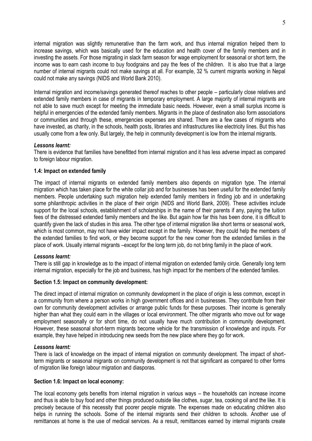internal migration was slightly remunerative than the farm work, and thus internal migration helped them to increase savings, which was basically used for the education and health cover of the family members and in investing the assets. For those migrating in slack farm season for wage employment for seasonal or short term, the income was to earn cash income to buy foodgrains and pay the fees of the children. It is also true that a large number of internal migrants could not make savings at all. For example, 32 % current migrants working in Nepal could not make any savings (NIDS and World Bank 2010).

Internal migration and income/savings generated thereof reaches to other people – particularly close relatives and extended family members in case of migrants in temporary employment. A large majority of internal migrants are not able to save much except for meeting the immediate basic needs. However, even a small surplus income is helpful in emergencies of the extended family members. Migrants in the place of destination also form associations or communities and through these, emergencies expenses are shared. There are a few cases of migrants who have invested, as charity, in the schools, health posts, libraries and infrastructures like electricity lines. But this has usually come from a few only. But largely, the help in community development is low from the internal migrants.

#### *Lessons learnt:*

There is evidence that families have benefitted from internal migration and it has less adverse impact as compared to foreign labour migration.

#### **1.4: Impact on extended family**

The impact of internal migrants on extended family members also depends on migration type. The internal migration which has taken place for the white collar job and for businesses has been useful for the extended family members. People undertaking such migration help extended family members in finding job and in undertaking some philanthropic activities in the place of their origin (NIDS and World Bank, 2009). These activities include support for the local schools, establishment of scholarships in the name of their parents if any, paying the tuition fees of the distressed extended family members and the like. But again how far this has been done, it is difficult to quantify given the lack of studies in this area. The other type of internal migration like short terms or seasonal work, which is most common, may not have wider impact except in the family. However, they could help the members of the extended families to find work, or they become support for the new comer from the extended families in the place of work. Usually internal migrants –except for the long term job, do not bring family in the place of work.

#### *Lessons learnt:*

There is still gap in knowledge as to the impact of internal migration on extended family circle. Generally long term internal migration, especially for the job and business, has high impact for the members of the extended families.

#### **Section 1.5: Impact on community development:**

The direct impact of internal migration on community development in the place of origin is less common, except in a community from where a person works in high government offices and in businesses. They contribute from their own for community development activities or arrange public funds for these purposes. Their income is generally higher than what they could earn in the villages or local environment. The other migrants who move out for wage employment seasonally or for short time, do not usually have much contribution in community development. However, these seasonal short-term migrants become vehicle for the transmission of knowledge and inputs. For example, they have helped in introducing new seeds from the new place where they go for work.

#### *Lessons learnt:*

There is lack of knowledge on the impact of internal migration on community development. The impact of shortterm migrants or seasonal migrants on community development is not that significant as compared to other forms of migration like foreign labour migration and diasporas.

#### **Section 1.6: Impact on local economy:**

The local economy gets benefits from internal migration in various ways – the households can increase income and thus is able to buy food and other things produced outside like clothes, sugar, tea, cooking oil and the like. It is precisely because of this necessity that poorer people migrate. The expenses made on educating children also helps in running the schools. Some of the internal migrants send their children to schools. Another use of remittances at home is the use of medical services. As a result, remittances earned by internal migrants create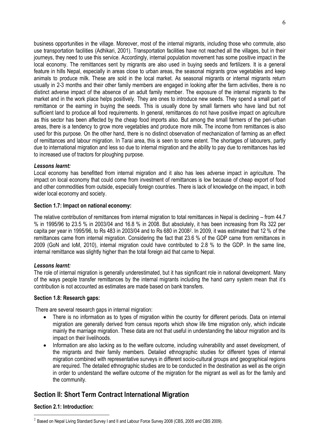business opportunities in the village. Moreover, most of the internal migrants, including those who commute, also use transportation facilities (Adhikari, 2001). Transportation facilities have not reached all the villages, but in their journeys, they need to use this service. Accordingly, internal population movement has some positive impact in the local economy. The remittances sent by migrants are also used in buying seeds and fertilizers. It is a general feature in hills Nepal, especially in areas close to urban areas, the seasonal migrants grow vegetables and keep animals to produce milk. These are sold in the local market. As seasonal migrants or internal migrants return usually in 2-3 months and their other family members are engaged in looking after the farm activities, there is no distinct adverse impact of the absence of an adult family member. The exposure of the internal migrants to the market and in the work place helps positively. They are ones to introduce new seeds. They spend a small part of remittance or the earning in buying the seeds. This is usually done by small farmers who have land but not sufficient land to produce all food requirements. In general, remittances do not have positive impact on agriculture as this sector has been affected by the cheap food imports also. But among the small farmers of the peri-urban areas, there is a tendency to grow more vegetables and produce more milk. The income from remittances is also used for this purpose. On the other hand, there is no distinct observation of mechanization of farming as an effect of remittances and labour migration. In Tarai area, this is seen to some extent. The shortages of labourers, partly due to international migration and less so due to internal migration and the ability to pay due to remittances has led to increased use of tractors for ploughing purpose.

#### *Lessons learnt:*

Local economy has benefitted from internal migration and it also has lees adverse impact in agriculture. The impact on local economy that could come from investment of remittances is low because of cheap export of food and other commodities from outside, especially foreign countries. There is lack of knowledge on the impact, in both wider local economy and society.

#### **Section 1.7: Impact on national economy:**

The relative contribution of remittances from internal migration to total remittances in Nepal is declining – from 44.7 % in 1995/96 to 23.5 % in 2003/04 and 16.8 % in 2008. But absolutely, it has been increasing from Rs 322 per capita per year in 1995/96, to Rs 483 in 2003/04 and to Rs 680 in 2008<sup>2</sup> . In 2009, it was estimated that 12 % of the remittances came from internal migration. Considering the fact that 23.6 % of the GDP came from remittances in 2009 (GoN and IoM, 2010), internal migration could have contributed to 2.8 % to the GDP. In the same line, internal remittance was slightly higher than the total foreign aid that came to Nepal.

# *Lessons learnt:*

The role of internal migration is generally underestimated, but it has significant role in national development. Many of the ways people transfer remittances by the internal migrants including the hand carry system mean that it"s contribution is not accounted as estimates are made based on bank transfers.

#### **Section 1.8: Research gaps:**

There are several research gaps in internal migration:

- There is no information as to types of migration within the country for different periods. Data on internal migration are generally derived from census reports which show life time migration only, which indicate mainly the marriage migration. These data are not that useful in understanding the labour migration and its impact on their livelihoods.
- Information are also lacking as to the welfare outcome, including vulnerability and asset development, of the migrants and their family members. Detailed ethnographic studies for different types of internal migration combined with representative surveys in different socio-cultural groups and geographical regions are required. The detailed ethnographic studies are to be conducted in the destination as well as the origin in order to understand the welfare outcome of the migration for the migrant as well as for the family and the community.

# **Section II: Short Term Contract International Migration**

# **Section 2.1: Introduction:**

1

 $^2$  Based on Nepal Living Standard Survey I and II and Labour Force Survey 2008 (CBS, 2005 and CBS 2009).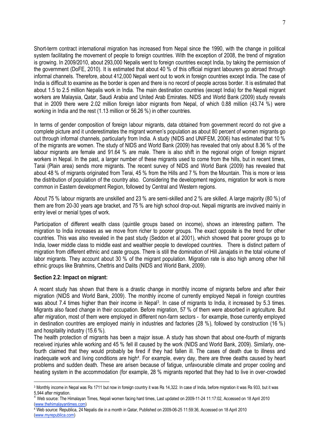Short-term contract international migration has increased from Nepal since the 1990, with the change in political system facilitating the movement of people to foreign countries. With the exception of 2008, the trend of migration is growing. In 2009/2010, about 293,000 Nepalis went to foreign countries except India, by taking the permission of the government (DoFE, 2010). It is estimated that about 40 % of this official migrant labourers go abroad through informal channels. Therefore, about 412,000 Nepali went out to work in foreign countries except India. The case of India is difficult to examine as the border is open and there is no record of people across border. It is estimated that about 1.5 to 2.5 million Nepalis work in India. The main destination countries (except India) for the Nepali migrant workers are Malaysia, Qatar, Saudi Arabia and United Arab Emirates. NIDS and World Bank (2009) study reveals that in 2009 there were 2.02 million foreign labor migrants from Nepal, of which 0.88 million (43.74 %) were working in India and the rest (1.13 million or 56.26 %) in other countries.

In terms of gender composition of foreign labour migrants, data obtained from government record do not give a complete picture and it underestimates the migrant women"s population as about 80 percent of women migrants go out through informal channels, particularly from India. A study (NIDS and UNIFEM, 2006) has estimated that 10 % of the migrants are women. The study of NIDS and World Bank (2009) has revealed that only about 8.36 % of the labour migrants are female and 91.64 % are male. There is also shift in the regional origin of foreign migrant workers in Nepal. In the past, a larger number of these migrants used to come from the hills, but in recent times, Tarai (Plain area) sends more migrants. The recent survey of NIDS and World Bank (2009) has revealed that about 48 % of migrants originated from Terai, 45 % from the Hills and 7 % from the Mountain. This is more or less the distribution of population of the country also. Considering the development regions, migration for work is more common in Eastern development Region, followed by Central and Western regions.

About 75 % labour migrants are unskilled and 23 % are semi-skilled and 2 % are skilled. A large majority (80 %) of them are from 20-30 years age bracket, and 75 % are high school drop-out. Nepali migrants are involved mainly in entry level or menial types of work.

Participation of different wealth class (quintile groups based on income), shows an interesting pattern. The migration to India increases as we move from richer to poorer groups. The exact opposite is the trend for other countries. This was also revealed in the past study (Seddon et al 2001), which showed that poorer groups go to India, lower middle class to middle east and wealthier people to developed countries. There is distinct pattern of migration from different ethnic and caste groups. There is still the domination of Hill Janajatis in the total volume of labor migrants. They account about 30 % of the migrant population. Migration rate is also high among other hill ethnic groups like Brahmins, Chettris and Dalits (NIDS and World Bank, 2009).

# **Section 2.2: Impact on migrant:**

<u>.</u>

A recent study has shown that there is a drastic change in monthly income of migrants before and after their migration (NIDS and World Bank, 2009). The monthly income of currently employed Nepali in foreign countries was about 7.4 times higher than their income in Nepal<sup>3</sup>. In case of migrants to India, it increased by 5.3 times. Migrants also faced change in their occupation. Before migration, 57 % of them were absorbed in agriculture. But after migration, most of them were employed in different non-farm sectors - for example, those currently employed in destination countries are employed mainly in industries and factories (28 %), followed by construction (16 %) and hospitality industry (15.6 %).

The health protection of migrants has been a major issue. A study has shown that about one-fourth of migrants received injuries while working and 45 % fell ill caused by the work (NIDS and World Bank, 2009). Similarly, onefourth claimed that they would probably be fired if they had fallen ill. The cases of death due to illness and inadequate work and living conditions are high<sup>4</sup>. For example, every day, there are three deaths caused by heart problems and sudden death. These are arisen because of fatigue, unfavourable climate and proper cooling and heating system in the accommodation (for example, 28 % migrants reported that they had to live in over-crowded

<sup>4</sup> Web source: Republica, 24 Nepalis die in a month in Qatar, Published on 2009-06-25 11:59:36, Accessed on 18 April 2010 [\(www.myrepublica.com\)](http://www.myrepublica.com/)

<sup>3</sup> Monthly income in Nepal was Rs 1711 but now in foreign country it was Rs 14,322. In case of India, before migration it was Rs 933, but it was 5,944 after migration.

<sup>4</sup> Web source: The Himalayan Times, Nepali women facing hard times, Last updated on 2009-11-24 11:17:02, Accessed on 18 April 2010 [\(www.thehimalayantimes.com\)](http://www.thehimalayantimes.com/)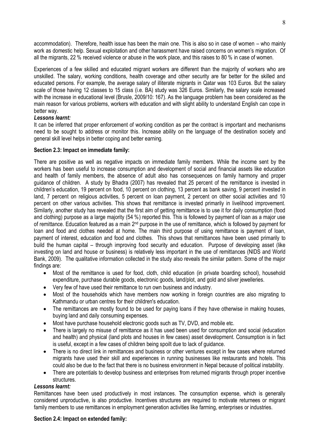accommodation). Therefore, health issue has been the main one. This is also so in case of women – who mainly work as domestic help. Sexual exploitation and other harassment have raised concerns on women"s migration. Of all the migrants, 22 % received violence or abuse in the work place, and this raises to 80 % in case of women.

Experiences of a few skilled and educated migrant workers are different than the majority of workers who are unskilled. The salary, working conditions, health coverage and other security are far better for the skilled and educated persons. For example, the average salary of illiterate migrants in Qatar was 103 Euros. But the salary scale of those having 12 classes to 15 class (i.e. BA) study was 326 Euros. Similarly, the salary scale increased with the increase in educational level (Brusle, 2009/10: 167). As the language problem has been considered as the main reason for various problems, workers with education and with slight ability to understand English can cope in better way.

#### *Lessons learnt:*

It can be inferred that proper enforcement of working condition as per the contract is important and mechanisms need to be sought to address or monitor this. Increase ability on the language of the destination society and general skill level helps in better coping and better earning.

#### **Section 2.3: Impact on immediate family:**

There are positive as well as negative impacts on immediate family members. While the income sent by the workers has been useful to increase consumption and development of social and financial assets like education and health of family members, the absence of adult also has consequences on family harmony and proper guidance of children. A study by Bhadra (2007) has revealed that 25 percent of the remittance is invested in children"s education, 19 percent on food, 10 percent on clothing, 13 percent as bank saving, 9 percent invested in land, 7 percent on religious activities, 5 percent on loan payment, 2 percent on other social activities and 10 percent on other various activities. This shows that remittance is invested primarily in livelihood improvement. Similarly, another study has revealed that the first aim of getting remittance is to use it for daily consumption (food and clothing) purpose as a large majority (54 %) reported this. This is followed by payment of loan as a major use of remittance. Education featured as a main 2<sup>nd</sup> purpose in the use of remittance, which is followed by payment for loan and food and clothes needed at home. The main third purpose of using remittance is payment of loan, payment of interest, education and food and clothes. This shows that remittances have been used primarily to build the human capital – through improving food security and education. Purpose of developing asset (like investing on land and house or business) is relatively less important in the use of remittances (NIDS and World Bank, 2009). The qualitative information collected in the study also reveals the similar pattern. Some of the major findings are:

- Most of the remittance is used for food, cloth, child education (in private boarding school), household expenditure, purchase durable goods, electronic goods, land/plot, and gold and silver jewelleries.
- Very few of have used their remittance to run own business and industry.
- Most of the households which have members now working in foreign countries are also migrating to Kathmandu or urban centres for their children's education.
- The remittances are mostly found to be used for paying loans if they have otherwise in making houses, buying land and daily consuming expenses.
- Most have purchase household electronic goods such as TV, DVD, and mobile etc.
- There is largely no misuse of remittance as it has used been used for consumption and social (education and health) and physical (land plots and houses in few cases) asset development. Consumption is in fact is useful, except in a few cases of children being spoilt due to lack of guidance.
- There is no direct link in remittances and business or other ventures except in few cases where returned migrants have used their skill and experiences in running businesses like restaurants and hotels. This could also be due to the fact that there is no business environment in Nepal because of political instability.
- There are potentials to develop business and enterprises from returned migrants through proper incentive **structures**

#### *Lessons learnt:*

Remittances have been used productively in most instances. The consumption expense, which is generally considered unproductive, is also productive. Incentives structures are required to motivate returnees or migrant family members to use remittances in employment generation activities like farming, enterprises or industries.

#### **Section 2.4: Impact on extended family:**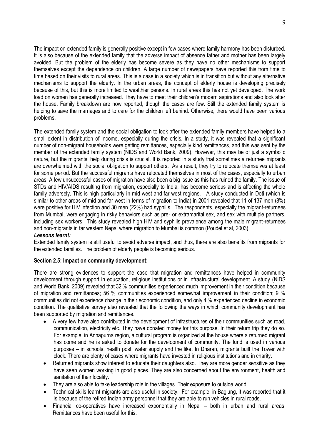The impact on extended family is generally positive except in few cases where family harmony has been disturbed. It is also because of the extended family that the adverse impact of absence father and mother has been largely avoided. But the problem of the elderly has become severe as they have no other mechanisms to support themselves except the dependence on children. A large number of newspapers have reported this from time to time based on their visits to rural areas. This is a case in a society which is in transition but without any alternative mechanisms to support the elderly. In the urban areas, the concept of elderly house is developing precisely because of this, but this is more limited to wealthier persons. In rural areas this has not yet developed. The work load on women has generally increased. They have to meet their children"s modern aspirations and also look after the house. Family breakdown are now reported, though the cases are few. Still the extended family system is helping to save the marriages and to care for the children left behind. Otherwise, there would have been various problems.

The extended family system and the social obligation to look after the extended family members have helped to a small extent in distribution of income, especially during the crisis. In a study, it was revealed that a significant number of non-migrant households were getting remittances, especially kind remittances, and this was sent by the member of the extended family system (NIDS and World Bank, 2009). However, this may be of just a symbolic nature, but the migrants' help during crisis is crucial. It is reported in a study that sometimes a returnee migrants are overwhelmed with the social obligation to support others. As a result, they try to relocate themselves at least for some period. But the successful migrants have relocated themselves in most of the cases, especially to urban areas. A few unsuccessful cases of migration have also been a big issue as this has ruined the family. The issue of STDs and HIV/AIDS resulting from migration, especially to India, has become serious and is affecting the whole family adversely. This is high particularly in mid west and far west regions. A study conducted in Doti (which is similar to other areas of mid and far west in terms of migration to India) in 2001 revealed that 11 of 137 men (8%) were positive for HIV infection and 30 men (22%) had syphilis. The respondents, especially the migrant-returnees from Mumbai, were engaging in risky behaviors such as pre- or extramarital sex, and sex with multiple partners, including sex workers. This study revealed high HIV and syphilis prevalence among the male migrant-returnees and non-migrants in far western Nepal where migration to Mumbai is common (Poudel et al, 2003).

#### *Lessons learnt:*

Extended family system is still useful to avoid adverse impact, and thus, there are also benefits from migrants for the extended families. The problem of elderly people is becoming serious.

# **Section 2.5: Impact on community development:**

There are strong evidences to support the case that migration and remittances have helped in community development through support in education, religious institutions or in infrastructural development. A study (NIDS and World Bank, 2009) revealed that 32 % communities experienced much improvement in their condition because of migration and remittances; 56 % communities experienced somewhat improvement in their condition; 9 % communities did not experience change in their economic condition, and only 4 % experienced decline in economic condition. The qualitative survey also revealed that the following the ways in which community development has been supported by migration and remittances.

- A very few have also contributed in the development of infrastructures of their communities such as road, communication, electricity etc. They have donated money for this purpose. In their return trip they do so. For example, in Annapurna region, a cultural program is organized at the house where a returned migrant has come and he is asked to donate for the development of community. The fund is used in various purposes – in schools, health post, water supply and the like. In Dharan, migrants built the Tower with clock. There are plenty of cases where migrants have invested in religious institutions and in charity.
- Returned migrants show interest to educate their daughters also. They are more gender sensitive as they have seen women working in good places. They are also concerned about the environment, health and sanitation of their locality.
- They are also able to take leadership role in the villages. Their exposure to outside world
- Technical skills learnt migrants are also useful in society. For example, in Baglung, it was reported that it is because of the retired Indian army personnel that they are able to run vehicles in rural roads.
- Financial co-operatives have increased exponentially in Nepal both in urban and rural areas. Remittances have been useful for this.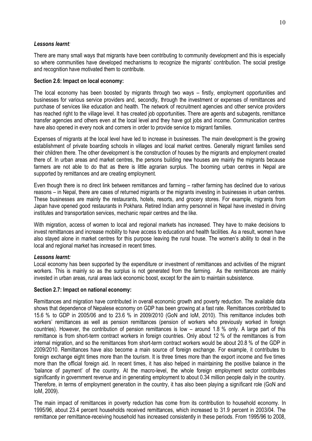# *Lessons learnt:*

There are many small ways that migrants have been contributing to community development and this is especially so where communities have developed mechanisms to recognize the migrants' contribution. The social prestige and recognition have motivated them to contribute.

## **Section 2.6: Impact on local economy:**

The local economy has been boosted by migrants through two ways – firstly, employment opportunities and businesses for various service providers and, secondly, through the investment or expenses of remittances and purchase of services like education and health. The network of recruitment agencies and other service providers has reached right to the village level. It has created job opportunities. There are agents and subagents, remittance transfer agencies and others even at the local level and they have got jobs and income. Communication centres have also opened in every nook and corners in order to provide service to migrant families.

Expenses of migrants at the local level have led to increase in businesses. The main development is the growing establishment of private boarding schools in villages and local market centres. Generally migrant families send their children there. The other development is the construction of houses by the migrants and employment created there of. In urban areas and market centres, the persons building new houses are mainly the migrants because farmers are not able to do that as there is little agrarian surplus. The booming urban centres in Nepal are supported by remittances and are creating employment.

Even though there is no direct link between remittances and farming – rather farming has declined due to various reasons – in Nepal, there are cases of returned migrants or the migrants investing in businesses in urban centres. These businesses are mainly the restaurants, hotels, resorts, and grocery stores. For example, migrants from Japan have opened good restaurants in Pokhara. Retired Indian army personnel in Nepal have invested in driving institutes and transportation services, mechanic repair centres and the like.

With migration, access of women to local and regional markets has increased. They have to make decisions to invest remittances and increase mobility to have access to education and health facilities. As a result, women have also stayed alone in market centres for this purpose leaving the rural house. The women's ability to deal in the local and regional market has increased in recent times.

# *Lessons learnt:*

Local economy has been supported by the expenditure or investment of remittances and activities of the migrant workers. This is mainly so as the surplus is not generated from the farming. As the remittances are mainly invested in urban areas, rural areas lack economic boost, except for the aim to maintain subsistence.

#### **Section 2.7: Impact on national economy:**

Remittances and migration have contributed in overall economic growth and poverty reduction. The available data shows that dependence of Nepalese economy on GDP has been growing at a fast rate. Remittances contributed to 15.6 % to GDP in 2005/06 and to 23.6 % in 2009/2010 (GoN and IoM, 2010). This remittance includes both workers' remittances as well as pension remittances (pension of workers who previously worked in foreign countries). However, the contribution of pension remittances is low – around 1.8 % only. A large part of this remittance is from short-term contract workers in foreign countries. Only about 12 % of the remittances is from internal migration, and so the remittances from short-term contract workers would be about 20.8 % of the GDP in 2009/2010. Remittances have also become a main source of foreign exchange. For example, it contributes to foreign exchange eight times more than the tourism. It is three times more than the export income and five times more than the official foreign aid. In recent times, it has also helped in maintaining the positive balance in the "balance of payment" of the country. At the macro-level, the whole foreign employment sector contributes significantly in government revenue and in generating employment to about 0.34 million people daily in the country. Therefore, in terms of employment generation in the country, it has also been playing a significant role (GoN and IoM, 2009).

The main impact of remittances in poverty reduction has come from its contribution to household economy. In 1995/96, about 23.4 percent households received remittances, which increased to 31.9 percent in 2003/04. The remittance per remittance-receiving household has increased consistently in these periods. From 1995/96 to 2008,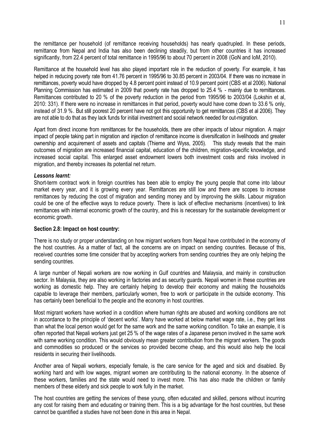the remittance per household (of remittance receiving households) has nearly quadrupled. In these periods, remittance from Nepal and India has also been declining steadily, but from other countries it has increased significantly, from 22.4 percent of total remittance in 1995/96 to about 70 percent in 2008 (GoN and IoM, 2010).

Remittance at the household level has also played important role in the reduction of poverty. For example, it has helped in reducing poverty rate from 41.76 percent in 1995/96 to 30.85 percent in 2003/04. If there was no increase in remittances, poverty would have dropped by 4.8 percent point instead of 10.9 percent point (CBS et al 2006). National Planning Commission has estimated in 2009 that poverty rate has dropped to 25.4 % - mainly due to remittances. Remittances contributed to 20 % of the poverty reduction in the period from 1995/96 to 2003/04 (Lokshin et al, 2010: 331). If there were no increase in remittances in that period, poverty would have come down to 33.6 % only, instead of 31.9 %. But still poorest 20 percent have not got this opportunity to get remittances (CBS et al 2006). They are not able to do that as they lack funds for initial investment and social network needed for out-migration.

Apart from direct income from remittances for the households, there are other impacts of labour migration. A major impact of people taking part in migration and injection of remittance income is diversification in livelihoods and greater ownership and acquirement of assets and capitals (Thieme and Wyss, 2005). This study reveals that the main outcomes of migration are increased financial capital, education of the children, migration-specific knowledge, and increased social capital. This enlarged asset endowment lowers both investment costs and risks involved in migration, and thereby increases its potential net return.

#### *Lessons learnt:*

Short-term contract work in foreign countries has been able to employ the young people that come into labour market every year, and it is growing every year. Remittances are still low and there are scopes to increase remittances by reducing the cost of migration and sending money and by improving the skills. Labour migration could be one of the effective ways to reduce poverty. There is lack of effective mechanisms (incentives) to link remittances with internal economic growth of the country, and this is necessary for the sustainable development or economic growth.

#### **Section 2.8: Impact on host country:**

There is no study or proper understanding on how migrant workers from Nepal have contributed in the economy of the host countries. As a matter of fact, all the concerns are on impact on sending countries. Because of this, received countries some time consider that by accepting workers from sending countries they are only helping the sending countries.

A large number of Nepali workers are now working in Gulf countries and Malaysia, and mainly in construction sector. In Malaysia, they are also working in factories and as security guards. Nepali women in these countries are working as domestic help. They are certainly helping to develop their economy and making the households capable to leverage their members, particularly women, free to work or participate in the outside economy. This has certainly been beneficial to the people and the economy in host countries.

Most migrant workers have worked in a condition where human rights are abused and working conditions are not in accordance to the principle of "decent works". Many have worked at below market wage rate, i.e., they get less than what the local person would get for the same work and the same working condition. To take an example, it is often reported that Nepali workers just get 25 % of the wage rates of a Japanese person involved in the same work with same working condition. This would obviously mean greater contribution from the migrant workers. The goods and commodities so produced or the services so provided become cheap, and this would also help the local residents in securing their livelihoods.

Another area of Nepali workers, especially female, is the care service for the aged and sick and disabled. By working hard and with low wages, migrant women are contributing to the national economy. In the absence of these workers, families and the state would need to invest more. This has also made the children or family members of these elderly and sick people to work fully in the market.

The host countries are getting the services of these young, often educated and skilled, persons without incurring any cost for raising them and educating or training them. This is a big advantage for the host countries, but these cannot be quantified a studies have not been done in this area in Nepal.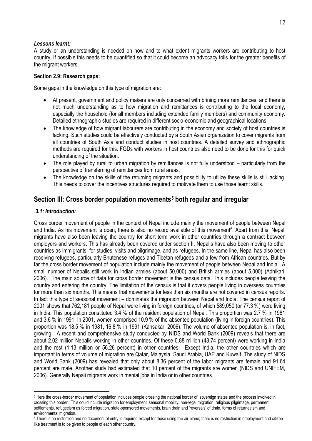# *Lessons learnt:*

A study or an understanding is needed on how and to what extent migrants workers are contributing to host country. If possible this needs to be quantified so that it could become an advocacy tolls for the greater benefits of the migrant workers.

# **Section 2.9: Research gaps:**

Some gaps in the knowledge on this type of migration are:

- At present, government and policy makers are only concerned with brining more remittances, and there is not much understanding as to how migration and remittances is contributing to the local economy, especially the household (for all members including extended family members) and community economy. Detailed ethnographic studies are required in different socio-economic and geographical locations.
- The knowledge of how migrant labourers are contributing in the economy and society of host countries is lacking. Such studies could be effectively conducted by a South Asian organization to cover migrants from all countries of South Asia and conduct studies in host countries. A detailed survey and ethnographic methods are required for this. FGDs with workers in host countries also need to be done for this for quick understanding of the situation.
- The role played by rural to urban migration by remittances is not fully understood particularly from the perspective of transferring of remittances from rural areas.
- The knowledge on the skills of the returning migrants and possibility to utilize these skills is still lacking. This needs to cover the incentives structures required to motivate them to use those learnt skills.

# **Section III: Cross border population movements<sup>5</sup> both regular and irregular**

# *3.1: Introduction:*

1

Cross border movement of people in the context of Nepal include mainly the movement of people between Nepal and India. As his movement is open, there is also no record available of this movement<sup>6</sup>. Apart from this, Nepali migrants have also been leaving the country for short term work in other countries through a contract between employers and workers. This has already been covered under section II. Nepalis have also been moving to other countries as immigrants, for studies, visits and pilgrimage, and as refugees. In the same line, Nepal has also been receiving refugees, particularly Bhutenese refuges and Tibetan refugees and a few from African countries. But by far the cross border movement of population include mainly the movement of people between Nepal and India. A small number of Nepalis still work in Indian armies (about 50,000) and British armies (about 5,000) (Adhikari, 2006). The main source of data for cross border movement is the census data. This includes people leaving the country and entering the country. The limitation of the census is that it covers people living in overseas countries for more than six months. This means that movements for less than six months are not covered in census reports. In fact this type of seasonal movement – dominates the migration between Nepal and India. The census report of 2001 shows that 762,181 people of Nepal were living in foreign countries, of which 589,050 (or 77.3 %) were living in India. This population constituted 3.4 % of the resident population of Nepal. This proportion was 2.7 % in 1981 and 3.6 % in 1991. In 2001, women comprised 10.9 % of the absentee population (living in foreign countries). This proportion was 18.5 % in 1981, 16.8 % in 1991 (Kansakar, 2006). The volume of absentee population is, in fact, growing. A recent and comprehensive study conducted by NIDS and World Bank (2009) reveals that there are about 2.02 million Nepalis working in other countries. Of these 0.88 million (43.74 percent) were working in India and the rest (1.13 million or 56.26 percent) in other countries. Except India, the other countries which are important in terms of volume of migration are Qatar, Malaysia, Saudi Arabia, UAE and Kuwait. The study of NIDS and World Bank (2009) has revealed that only about 8.36 percent of the labor migrants are female and 91.64 percent are male. Another study had estimated that 10 percent of the migrants are women (NIDS and UNIFEM, 2006). Generally Nepali migrants work in menial jobs in India or in other countries.

<sup>&</sup>lt;sup>5</sup> Here the cross-border movement of population includes people crossing the national border of sovereign states and the process involved in crossing this border. This could include migration for employment, seasonal mobility, non-legal migration, religious pilgrimage, permanent settlements, refugeeism as forced migration, state-sponsored movements, brain drain and 'reversals' of drain, forms of returneeism and environmental migration.

<sup>&</sup>lt;sup>6</sup> There is no restriction and no document of entry is required except for those using the air-plane; there is no restriction in employment and citizenlike treatment is to be given to people of each other country.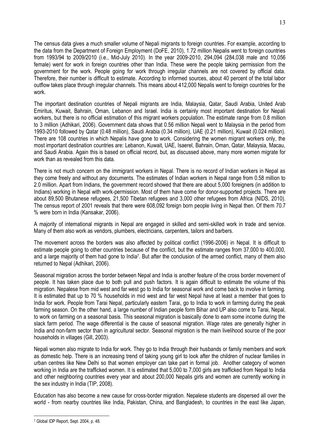The census data gives a much smaller volume of Nepali migrants to foreign countries. For example, according to the data from the Department of Foreign Employment (DoFE, 2010), 1.72 million Nepalis went to foreign countries from 1993/94 to 2009/2010 (i.e., Mid-July 2010). In the year 2009-2010, 294,094 (284,038 male and 10,056 female) went for work in foreign countries other than India. These were the people taking permission from the government for the work. People going for work through irregular channels are not covered by official data. Therefore, their number is difficult to estimate. According to informed sources, about 40 percent of the total labor outflow takes place through irregular channels. This means about 412,000 Nepalis went to foreign countries for the work.

The important destination countries of Nepali migrants are India, Malaysia, Qatar, Saudi Arabia, United Arab Emiritus, Kuwait, Bahrain, Oman, Lebanon and Israel. India is certainly most important destination for Nepali workers, but there is no official estimation of this migrant workers population. The estimate range from 0.8 million to 3 million (Adhikari, 2006). Government data shows that 0.56 million Nepali went to Malaysia in the period from 1993-2010 followed by Qatar (0.48 million), Saudi Arabia (0.34 million), UAE (0.21 million), Kuwait (0.024 million). There are 108 countries in which Nepalis have gone to work. Considering the women migrant workers only, the most important destination countries are: Lebanon, Kuwait, UAE, Isaerel, Bahrain, Oman, Qatar, Malaysia, Macau, and Saudi Arabia. Again this is based on official record, but, as discussed above, many more women migrate for work than as revealed from this data.

There is not much concern on the immigrant workers in Nepal. There is no record of Indian workers in Nepal as they come freely and without any documents. The estimates of Indian workers in Nepal range from 0.58 million to 2.0 million. Apart from Indians, the government record showed that there are about 5,000 foreigners (in addition to Indians) working in Nepal with work-permission. Most of them have come for donor-supported projects. There are about 89,500 Bhutanese refugees, 21,500 Tibetan refugees and 3,000 other refugees from Africa (NIDS, 2010). The census report of 2001 reveals that there were 608,092 foreign born people living in Nepal then. Of them 70.7 % were born in India (Kansakar, 2006).

A majority of international migrants in Nepal are engaged in skilled and semi-skilled work in trade and service. Many of them also work as vendors, plumbers, electricians, carpenters, tailors and barbers.

The movement across the borders was also affected by political conflict (1996-2006) in Nepal. It is difficult to estimate people going to other countries because of the conflict, but the estimate ranges from 37,000 to 400,000, and a large majority of them had gone to India<sup>7</sup>. But after the conclusion of the armed conflict, many of them also returned to Nepal (Adhikari, 2006).

Seasonal migration across the border between Nepal and India is another feature of the cross border movement of people. It has taken place due to both pull and push factors. It is again difficult to estimate the volume of this migration. Nepalese from mid west and far west go to India for seasonal work and come back to involve in farming. It is estimated that up to 70 % households in mid west and far west Nepal have at least a member that goes to India for work. People from Tarai Nepal, particularly eastern Tarai, go to India to work in farming during the peak farming season. On the other hand, a large number of Indian people form Bihar and UP also come to Tarai, Nepal, to work on farming on a seasonal basis. This seasonal migration is basically done to earn some income during the slack farm period. The wage differential is the cause of seasonal migration. Wage rates are generally higher in India and non-farm sector than in agricultural sector. Seasonal migration is the main livelihood source of the poor households in villages (Gill, 2003).

Nepali women also migrate to India for work. They go to India through their husbands or family members and work as domestic help. There is an increasing trend of taking young girl to look after the children of nuclear families in urban centres like New Delhi so that women employer can take part in formal job. Another category of women working in India are the trafficked women. It is estimated that 5,000 to 7,000 girls are trafficked from Nepal to India and other neighboring countries every year and about 200,000 Nepalis girls and women are currently working in the sex industry in India (TIP, 2008).

Education has also become a new cause for cross-border migration. Nepalese students are dispersed all over the world - from nearby countries like India, Pakistan, China, and Bangladesh, to countries in the east like Japan,

<sup>&</sup>lt;u>.</u> <sup>7</sup> Global IDP Report, Sept. 2004, p. 48.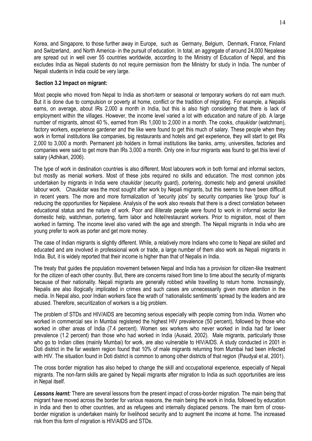Korea, and Singapore, to those further away in Europe, such as Germany, Belgium, Denmark, France, Finland and Switzerland, and North America- in the pursuit of education. In total, an aggregate of around 24,000 Nepalese are spread out in well over 55 countries worldwide, according to the Ministry of Education of Nepal, and this excludes India as Nepali students do not require permission from the Ministry for study in India. The number of Nepali students in India could be very large.

# **Section 3.2 Impact on migrant:**

Most people who moved from Nepal to India as short-term or seasonal or temporary workers do not earn much. But it is done due to compulsion or poverty at home, conflict or the tradition of migrating. For example, a Nepalis earns, on average, about IRs 2,000 a month in India, but this is also high considering that there is lack of employment within the villages. However, the income level varied a lot with education and nature of job. A large number of migrants, almost 40 %, earned from IRs 1,000 to 2,000 in a month. The cooks, *chaukidar* (watchman), factory workers, experience gardener and the like were found to get this much of salary. These people when they work in formal institutions like companies, big restaurants and hotels and get experience, they will start to get IRs 2,000 to 3,000 a month. Permanent job holders in formal institutions like banks, army, universities, factories and companies were said to get more than IRs 3,000 a month. Only one in four migrants was found to get this level of salary (Adhikari, 2006).

The type of work in destination countries is also different. Most labourers work in both formal and informal sectors, but mostly as menial workers. Most of these jobs required no skills and education. The most common jobs undertaken by migrants in India were *chaukidar* (security guard), portering, domestic help and general unskilled labour work. Chaukidar was the most sought after work by Nepali migrants, but this seems to have been difficult in recent years. The more and more formalization of 'security jobs' by security companies like 'group four' is reducing the opportunities for Nepalese. Analysis of the work also reveals that there is a direct correlation between educational status and the nature of work. Poor and illiterate people were found to work in informal sector like domestic help, watchman, portering, farm labor and hotel/restaurant workers. Prior to migration, most of them worked in farming. The income level also varied with the age and strength. The Nepali migrants in India who are young prefer to work as porter and get more money.

The case of Indian migrants is slightly different. While, a relatively more Indians who come to Nepal are skilled and educated and are involved in professional work or trade, a large number of them also work as Nepali migrants in India. But, it is widely reported that their income is higher than that of Nepalis in India.

The treaty that guides the population movement between Nepal and India has a provision for citizen-like treatment for the citizen of each other country. But, there are concerns raised from time to time about the security of migrants because of their nationality. Nepali migrants are generally robbed while travelling to return home. Increasingly, Nepalis are also illogically implicated in crimes and such cases are unnecessarily given more attention in the media. In Nepal also, poor Indian workers face the wrath of "nationalistic sentiments" spread by the leaders and are abused. Therefore, securitization of workers is a big problem.

The problem of STDs and HIV/AIDS are becoming serious especially with people coming from India. Women who worked in commercial sex in Mumbai registered the highest HIV prevalence (50 percent), followed by those who worked in other areas of India (7.4 percent). Women sex workers who never worked in India had far lower prevalence (1.2 percent) than those who had worked in India (Ausaid, 2002). Male migrants, particularly those who go to Indian cities (mainly Mumbai) for work, are also vulnerable to HIV/AIDS. A study conducted in 2001 in Doti district in the far western region found that 10% of male migrants returning from Mumbai had been infected with HIV. The situation found in Doti district is common to among other districts of that region (Paudyal et al, 2001).

The cross border migration has also helped to change the skill and occupational experience, especially of Nepali migrants. The non-farm skills are gained by Nepali migrants after migration to India as such opportunities are less in Nepal itself.

*Lessons learnt:* There are several lessons from the present impact of cross-border migration. The main being that migrant have moved across the border for various reasons, the main being the work in India, followed by education in India and then to other countries, and as refugees and internally displaced persons. The main form of crossborder migration is undertaken mainly for livelihood security and to augment the income at home. The increased risk from this form of migration is HIV/AIDS and STDs.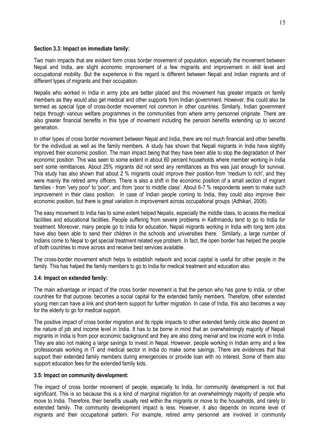#### **Section 3.3: Impact on immediate family:**

Two main impacts that are evident form cross border movement of population, especially the movement between Nepal and India, are slight economic improvement of a few migrants and improvement in skill level and occupational mobility. But the experience in this regard is different between Nepali and Indian migrants and of different types of migrants and their occupation.

Nepalis who worked in India in army jobs are better placed and this movement has greater impacts on family members as they would also get medical and other supports from Indian government. However, this could also be termed as special type of cross-border movement not common in other countries. Similarly, Indian government helps through various welfare programmes in the communities from where army personnel originate. There are also greater financial benefits in this type of movement including the pension benefits extending up to second generation.

In other types of cross border movement between Nepal and India, there are not much financial and other benefits for the individual as well as the family members. A study has shown that Nepali migrants in India have slightly improved their economic position. The main impact being that they have been able to stop the degradation of their economic position. This was seen to some extent in about 60 percent households where member working in India sent some remittances. About 25% migrants did not send any remittances as this was just enough for survival. This study has also shown that about 2 % migrants could improve their position from 'medium to rich', and they were mainly the retired army officers. There is also a shift in the economic position of a small section of migrant families - from 'very poor' to 'poor', and from 'poor to middle class'. About 6-7 % respondents seem to make such improvement in their class position. In case of Indian people coming to India, they could also improve their economic position, but there is great variation in improvement across occupational groups (Adhikari, 2006).

The easy movement to India has to some extent helped Nepalis, especially the middle class, to access the medical facilities and educational facilities. People suffering from severe problems in Kathmandu tend to go to India for treatment. Moreover, many people go to India for education. Nepali migrants working in India with long term jobs have also been able to send their children in the schools and universities there. Similarly, a large number of Indians come to Nepal to get special treatment related eye problem. In fact, the open border has helped the people of both countries to move across and receive best services available.

The cross-border movement which helps to establish network and social capital is useful for other people in the family. This has helped the family members to go to India for medical treatment and education also.

# **3.4: Impact on extended family:**

The main advantage or impact of the cross border movement is that the person who has gone to India, or other countries for that purpose, becomes a social capital for the extended family members. Therefore, other extended young men can have a link and short-term support for further migration. In case of India, this also becomes a way for the elderly to go for medical support.

The positive impact of cross border migration and its ripple impacts to other extended family circle also depend on the nature of job and income level in India. It has to be borne in mind that an overwhelmingly majority of Nepali migrants in India is from poor economic background and they are also doing menial and low income work in India. They are also not making a large savings to invest in Nepal. However, people working in Indian army and a few professionals working in IT and medical sector in India do make some savings. There are evidences that that support their extended family members during emergencies or provide loan with no interest. Some of them also support education fees for the extended family kids.

#### **3.5: Impact on community development:**

The impact of cross border movement of people, especially to India, for community development is not that significant. This is so because this is a kind of marginal migration for an overwhelmingly majority of people who move to India. Therefore, their benefits usually rest within the migrants or move to the households, and rarely to extended family. The community development impact is less. However, it also depends on income level of migrants and their occupational pattern. For example, retired army personnel are involved in community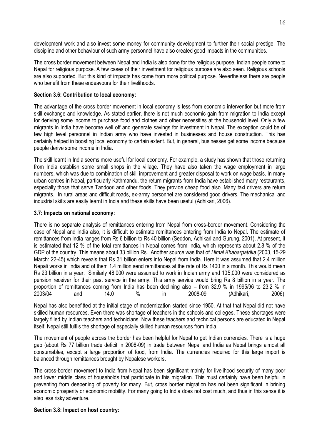development work and also invest some money for community development to further their social prestige. The discipline and other behaviour of such army personnel have also created good impacts in the communities.

The cross border movement between Nepal and India is also done for the religious purpose. Indian people come to Nepal for religious purpose. A few cases of their investment for religious purpose are also seen. Religious schools are also supported. But this kind of impacts has come from more political purpose. Nevertheless there are people who benefit from these endeavours for their livelihoods.

## **Section 3.6: Contribution to local economy:**

The advantage of the cross border movement in local economy is less from economic intervention but more from skill exchange and knowledge. As stated earlier, there is not much economic gain from migration to India except for deriving some income to purchase food and clothes and other necessities at the household level. Only a few migrants in India have become well off and generate savings for investment in Nepal. The exception could be of few high level personnel in Indian army who have invested in businesses and house construction. This has certainly helped in boosting local economy to certain extent. But, in general, businesses get some income because people derive some income in India.

The skill learnt in India seems more useful for local economy. For example, a study has shown that those returning from India establish some small shops in the village. They have also taken the wage employment in large numbers, which was due to combination of skill improvement and greater disposal to work on wage basis. In many urban centres in Nepal, particularly Kathmandu, the return migrants from India have established many restaurants, especially those that serve Tandoori and other foods. They provide cheap food also. Many taxi drivers are return migrants. In rural areas and difficult roads, ex-army personnel are considered good drivers. The mechanical and industrial skills are easily learnt in India and these skills have been useful (Adhikari, 2006).

#### **3.7: Impacts on national economy:**

There is no separate analysis of remittances entering from Nepal from cross-border movement. Considering the case of Nepal and India also, it is difficult to estimate remittances entering from India to Nepal. The estimate of remittances from India ranges from Rs 6 billion to Rs 40 billion (Seddon, Adhikari and Gurung, 2001). At present, it is estimated that 12 % of the total remittances in Nepal comes from India, which represents about 2.8 % of the GDP of the country. This means about 33 billion Rs. Another source was that of *Himal Khabarpatrika* (2003, 15-29 March: 22-45) which reveals that Rs 31 billion enters into Nepal from India. Here it was assumed that 2.4 million Nepali works in India and of them 1.4 million send remittances at the rate of Rs 1400 in a month. This would mean Rs 23 billion in a year. Similarly 48,000 were assumed to work in Indian army and 105,000 were considered as pension receiver for their past service in the army. This army service would bring Rs 8 billion in a year. The proportion of remittances coming from India has been declining also – from 32.9 % in 1995/96 to 23.2 % in 2003/04 and 14.0 % in 2008-09 (Adhikari, 2006).

Nepal has also benefitted at the initial stage of modernization started since 1950. At that that Nepal did not have skilled human resources. Even there was shortage of teachers in the schools and colleges. These shortages were largely filled by Indian teachers and technicians. Now these teachers and technical persons are educated in Nepal itself. Nepal still fulfils the shortage of especially skilled human resources from India.

The movement of people across the border has been helpful for Nepal to get Indian currencies. There is a huge gap (about Rs 77 billion trade deficit in 2008-09) in trade between Nepal and India as Nepal brings almost all consumables, except a large proportion of food, from India. The currencies required for this large import is balanced through remittances brought by Nepalese workers.

The cross-border movement to India from Nepal has been significant mainly for livelihood security of many poor and lower middle class of households that participate in this migration. This must certainly have been helpful in preventing from deepening of poverty for many. But, cross border migration has not been significant in brining economic prosperity or economic mobility. For many going to India does not cost much, and thus in this sense it is also less risky adventure.

# **Section 3.8: Impact on host country:**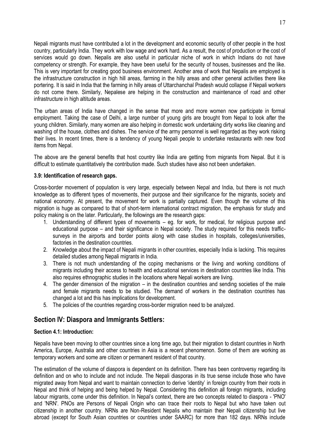Nepali migrants must have contributed a lot in the development and economic security of other people in the host country, particularly India. They work with low wage and work hard. As a result, the cost of production or the cost of services would go down. Nepalis are also useful in particular niche of work in which Indians do not have competency or strength. For example, they have been useful for the security of houses, businesses and the like. This is very important for creating good business environment. Another area of work that Nepalis are employed is the infrastructure construction in high hill areas, farming in the hilly areas and other general activities there like portering. It is said in India that the farming in hilly areas of Uttarchanchal Pradesh would collapse if Nepali workers do not come there. Similarly, Nepalese are helping in the construction and maintenance of road and other infrastructure in high altitude areas.

The urban areas of India have changed in the sense that more and more women now participate in formal employment. Taking the case of Delhi, a large number of young girls are brought from Nepal to look after the young children. Similarly, many women are also helping in domestic work undertaking dirty works like cleaning and washing of the house, clothes and dishes. The service of the army personnel is well regarded as they work risking their lives. In recent times, there is a tendency of young Nepali people to undertake restaurants with new food items from Nepal.

The above are the general benefits that host country like India are getting from migrants from Nepal. But it is difficult to estimate quantitatively the contribution made. Such studies have also not been undertaken.

# **3.9: Identification of research gaps.**

Cross-border movement of population is very large, especially between Nepal and India, but there is not much knowledge as to different types of movements, their purpose and their significance for the migrants, society and national economy. At present, the movement for work is partially captured. Even though the volume of this migration is huge as compared to that of short-term international contract migration, the emphasis for study and policy making is on the later. Particularly, the followings are the research gaps:

- 1. Understanding of different types of movements eg. for work, for medical, for religious purpose and educational purpose – and their significance in Nepal society. The study required for this needs trafficsurveys in the airports and border points along with case studies in hospitals, colleges/universities, factories in the destination countries.
- 2. Knowledge about the impact of Nepali migrants in other countries, especially India is lacking. This requires detailed studies among Nepali migrants in India.
- 3. There is not much understanding of the coping mechanisms or the living and working conditions of migrants including their access to health and educational services in destination countries like India. This also requires ethnographic studies in the locations where Nepali workers are living.
- 4. The gender dimension of the migration in the destination countries and sending societies of the male and female migrants needs to be studied. The demand of workers in the destination countries has changed a lot and this has implications for development.
- 5. The policies of the countries regarding cross-border migration need to be analyzed.

# **Section IV: Diaspora and Immigrants Settlers:**

# **Section 4.1: Introduction:**

Nepalis have been moving to other countries since a long time ago, but their migration to distant countries in North America, Europe, Australia and other countries in Asia is a recent phenomenon. Some of them are working as temporary workers and some are citizen or permanent resident of that country.

The estimation of the volume of diaspora is dependent on its definition. There has been controversy regarding its definition and on who to include and not include. The Nepali diasporas in its true sense include those who have migrated away from Nepal and want to maintain connection to derive "identity" in foreign country from their roots in Nepal and think of helping and being helped by Nepal. Considering this definition all foreign migrants, including labour migrants, come under this definition. In Nepal's context, there are two concepts related to diaspora - 'PNO' and 'NRN'. PNOs are Persons of Nepali Origin who can trace their roots to Nepal but who have taken out citizenship in another country. NRNs are Non-Resident Nepalis who maintain their Nepali citizenship but live abroad (except for South Asian countries or countries under SAARC) for more than 182 days. NRNs include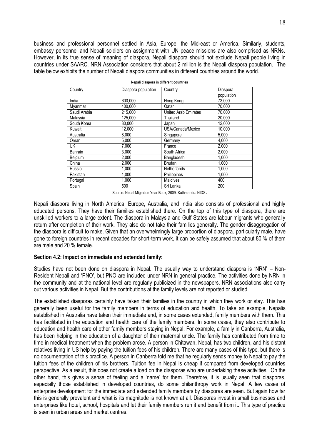business and professional personnel settled in Asia, Europe, the Mid-east or America. Similarly, students, embassy personnel and Nepali soldiers on assignment with UN peace missions are also comprised as NRNs. However, in its true sense of meaning of diaspora, Nepali diaspora should not exclude Nepali people living in countries under SAARC. NRN Association considers that about 2 million is the Nepali diaspora population. The table below exhibits the number of Nepali diaspora communities in different countries around the world.

| Country      | Diaspora population | Country              | Diaspora<br>population |
|--------------|---------------------|----------------------|------------------------|
| India        | 600.000             | Hong Kong            | 73.000                 |
| Myanmar      | 400.000             | Qatar                | 70,000                 |
| Saudi Arabia | 215.000             | United Arab Emirates | 70.000                 |
| Malaysia     | 125,000             | Thailand             | 20,000                 |
| South Korea  | 80.000              | Japan                | 12,000                 |
| Kuwait       | 12,000              | USA/Canada/Mexico    | 10,000                 |
| Australia    | 8,000               | Singapore            | 5,000                  |
| Oman         | 5,000               | Germany              | 4,000                  |
| <b>UK</b>    | 7,000               | France               | 2,000                  |
| Bahrain      | 3.000               | South Africa         | 2.000                  |
| Belgium      | 2.000               | <b>Bangladesh</b>    | 1.000                  |
| China        | 2,000               | <b>Bhutan</b>        | 1,000                  |
| Russia       | 1,000               | <b>Netherlands</b>   | 1,000                  |
| Pakistan     | 1.000               | Philippines          | 1.000                  |
| Portugal     | 1.000               | <b>Maldives</b>      | 400                    |
| Spain        | 500                 | Sri Lanka            | 200                    |

|  |  | Nepali diaspora in different countries |
|--|--|----------------------------------------|
|  |  |                                        |

Source: Nepal Migration Year Book, 2009. Kathmandu: NIDS.

Nepali diaspora living in North America, Europe, Australia, and India also consists of professional and highly educated persons. They have their families established there. On the top of this type of diaspora, there are unskilled workers to a large extent. The diaspora in Malaysia and Gulf States are labour migrants who generally return after completion of their work. They also do not take their families generally. The gender disaggregation of the diaspora is difficult to make. Given that an overwhelmingly large proportion of diaspora, particularly male, have gone to foreign countries in recent decades for short-term work, it can be safely assumed that about 80 % of them are male and 20 % female.

#### **Section 4.2: Impact on immediate and extended family:**

Studies have not been done on diaspora in Nepal. The usually way to understand diaspora is "NRN" – Non-Resident Nepali and "PNO", but PNO are included under NRN in general practice. The activities done by NRN in the community and at the national level are regularly publicized in the newspapers. NRN associations also carry out various activities in Nepal. But the contributions at the family levels are not reported or studied.

The established diasporas certainly have taken their families in the country in which they work or stay. This has generally been useful for the family members in terms of education and health. To take an example, Nepalis established in Australia have taken their immediate and, in some cases extended, family members with them. This has facilitated in the education and health care of the family members. In some cases, they also contribute to education and health care of other family members staying in Nepal. For example, a family in Canberra, Australia, has been helping in the education of a daughter of their maternal uncle. The family has contributed from time to time in medical treatment when the problem arose. A person in Chitawan, Nepal, has two children, and his distant relatives living in US help by paying the tuition fees of his children. There are many cases of this type, but there is no documentation of this practice. A person in Canberra told me that he regularly sends money to Nepal to pay the tuition fees of the children of his brothers. Tuition fee in Nepal is cheap if compared from developed countries perspective. As a result, this does not create a load on the diasporas who are undertaking these activities. On the other hand, this gives a sense of feeling and a "name" for them. Therefore, it is usually seen that diasporas, especially those established in developed countries, do some philanthropy work in Nepal. A few cases of enterprise development for the immediate and extended family members by diasporas are seen. But again how far this is generally prevalent and what is its magnitude is not known at all. Diasporas invest in small businesses and enterprises like hotel, school, hospitals and let their family members run it and benefit from it. This type of practice is seen in urban areas and market centres.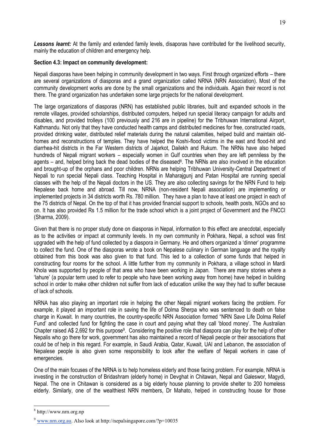*Lessons learnt:* At the family and extended family levels, disaporas have contributed for the livelihood security, mainly the education of children and emergency help.

# **Section 4.3: Impact on community development:**

Nepali diasporas have been helping in community development in two ways. First through organized efforts – there are several organizations of diasporas and a grand organization called NRNA (NRN Association). Most of the community development works are done by the small organizations and the individuals. Again their record is not there. The grand organization has undertaken some large projects for the national development.

The large organizations of diasporas (NRN) has established public libraries, built and expanded schools in the remote villages, provided scholarships, distributed computers, helped run special literacy campaign for adults and disables, and provided trolleys (100 previously and 216 are in pipeline) for the Tribhuwan International Airport, Kathmandu. Not only that they have conducted health camps and distributed medicines for free, constructed roads, provided drinking water, distributed relief materials during the natural calamities, helped build and maintain oldhomes and reconstructions of temples. They have helped the Koshi-flood victims in the east and flood-hit and diarrhea-hit districts in the Far Western districts of Jajarkot, Dailekh and Rukum. The NRNs have also helped hundreds of Nepali migrant workers – especially women in Gulf countries when they are left penniless by the agents – and, helped bring back the dead bodies of the diseased<sup>8</sup>. The NRNs are also involved in the education and brought-up of the orphans and poor children. NRNs are helping Tribhuwan University-Central Department of Nepali to run special Nepali class. Teaching Hospital in Maharajgunj and Patan Hospital are running special classes with the help of the Nepali doctors in the US. They are also collecting savings for the NRN Fund to help Nepalese back home and abroad. Till now, NRNA (non-resident Nepali association) are implementing or implemented projects in 34 districts worth Rs. 780 million. They have a plan to have at least one project in each of the 75 districts of Nepal. On the top of that it has provided financial support to schools, health posts, NGOs and so on. It has also provided Rs 1.5 million for the trade school which is a joint project of Government and the FNCCI (Sharma, 2009).

Given that there is no proper study done on diasporas in Nepal, information to this effect are anecdotal, especially as to the activities or impact at community levels. In my own community in Pokhara, Nepal, a school was first upgraded with the help of fund collected by a diaspora in Germany. He and others organized a "dinner" programme to collect the fund. One of the diasporas wrote a book on Nepalese culinary in German language and the royalty obtained from this book was also given to that fund. This led to a collection of some funds that helped in constructing four rooms for the school. A little further from my community in Pokhara, a village school in Mardi Khola was supported by people of that area who have been working in Japan. There are many stories where a "lahure" (a popular term used to refer to people who have been working away from home) have helped in building school in order to make other children not suffer from lack of education unlike the way they had to suffer because of lack of schools.

NRNA has also playing an important role in helping the other Nepali migrant workers facing the problem. For example, it played an important role in saving the life of Dolma Sherpa who was sentenced to death on false charge in Kuwait. In many countries, the country-specific NRN Association formed "NRN Save Life Dolma Relief Fund" and collected fund for fighting the case in court and paying what they call "blood money". The Australian Chapter raised A\$ 2,692 for this purpose<sup>9</sup>. Considering the positive role that diaspora can play for the help of other Nepalis who go there for work, government has also maintained a record of Nepali people or their associations that could be of help in this regard. For example, in Saudi Arabia, Qatar, Kuwait, UAI and Lebanon, the association of Nepalese people is also given some responsibility to look after the welfare of Nepali workers in case of emergencies.

One of the main focuses of the NRNA is to help homeless elderly and those facing problem. For example, NRNA is investing in the construction of Bridashram (elderly home) in Devghat in Chitawan, Nepal and Galeswor, Magydi, Nepal. The one in Chitawan is considered as a big elderly house planning to provide shelter to 200 homeless elderly. Similarly, one of the wealthiest NRN members, Dr Mahato, helped in constructing house for those

1

<sup>8</sup> http://www.nrn.org.np

<sup>9</sup> [www.nrn.org.au.](http://www.nrn.org.au/) Also look at http://nepalsingapore.com/?p=10035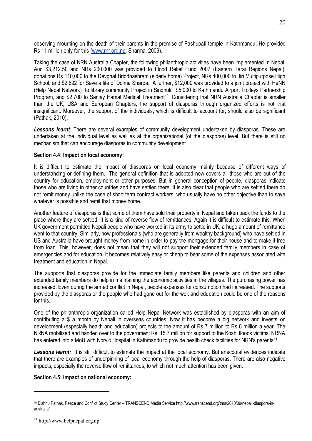observing mourning on the death of their parents in the premise of Pashupati temple in Kathmandu. He provided Rs 11 million only for this [\(www.rnr.org.np;](http://www.rnr.org.np/) Sharma, 2009).

Taking the case of NRN Australia Chapter, the following philanthropic activities have been implemented in Nepal. Aud \$3,212.50 and NRs 200,000 was provided to Flood Relief Fund 2007 (Eastern Tarai Regions Nepal), donations Rs 110,000 to the Devghat Briddhashram (elderly home) Project, NRs 400,000 to Jiri Multipurpose High School, and \$2,692 for Save a life of Dolma Sharpa. A further, \$12,000 was provided to a joint project with HeNN (Help Nepal Network) to library community Project in Sindhuli, \$5,000 to Kathmandu Airport Trolleys Partnership Program, and \$2,700 to Sanjay Hamal Medical Treatment<sup>10</sup>. Considering that NRN Australia Chapter is smaller than the UK, USA and European Chapters, the support of diasporas through organized efforts is not that insignificant. Moreover, the support of the individuals, which is difficult to account for, should also be significant (Pathak, 2010).

*Lessons learnt:* There are several examples of community development undertaken by diasporas. These are undertaken at the individual level as well as at the organizational (of the diasporas) level. But there is still no mechanism that can encourage diasporas in community development.

#### **Section 4.4: Impact on local economy:**

It is difficult to estimate the impact of diasporas on local economy mainly because of different ways of understanding or defining them. The general definition that is adopted now covers all those who are out of the country for education, employment or other purposes. But in general conception of people, diasporas indicate those who are living in other countries and have settled there. It is also clear that people who are settled there do not remit money unlike the case of short term contract workers, who usually have no other objective than to save whatever is possible and remit that money home.

Another feature of diasporas is that some of them have sold their property in Nepal and taken back the funds to the place where they are settled. It is a kind of reverse flow of remittances. Again it is difficult to estimate this. When UK government permitted Nepali people who have worked in its army to settle in UK, a huge amount of remittance went to that country. Similarly, now professionals (who are generally from wealthy background) who have settled in US and Australia have brought money from home in order to pay the mortgage for their house and to make it free from loan. This, however, does not mean that they will not support their extended family members in case of emergencies and for education. It becomes relatively easy or cheap to bear some of the expenses associated with treatment and education in Nepal.

The supports that diasporas provide for the immediate family members like parents and children and other extended family members do help in maintaining the economic activities in the villages. The purchasing power has increased. Even during the armed conflict in Nepal, people expenses for consumption had increased. The supports provided by the diasporas or the people who had gone out for the wok and education could be one of the reasons for this.

One of the philanthropic organization called Help Nepal Network was established by diasporas with an aim of contributing a \$ a month by Nepali in overseas countries. Now it has become a big network and invests on development (especially health and education) projects to the amount of Rs 7 million to Rs 8 million a year. The NRNA mobilized and handed over to the government Rs. 15.7 million for support to the Koshi floods victims. NRNA has entered into a MoU with Norvic Hospital in Kathmandu to provide health check facilities for NRN's parents<sup>11</sup>.

*Lessons learnt:* It is still difficult to estimate the impact at the local economy. But anecdotal evidences indicate that there are examples of underpinning of local economy through the help of diasporas. There are also negative impacts, especially the reverse flow of remittances, to which not much attention has been given.

#### **Section 4.5: Impact on national economy:**

1

<sup>10</sup> Bishnu Pathak, Peace and Conflict Study Center – TRANSCEND Media Service http://www.transcend.org/tms/2010/09/nepali-diaspora-inaustralia/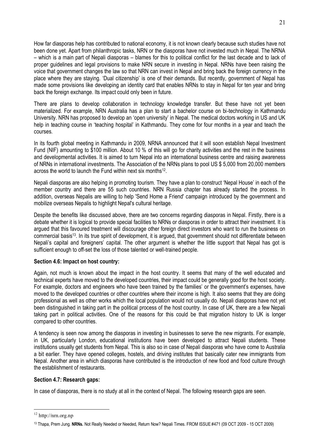How far diasporas help has contributed to national economy, it is not known clearly because such studies have not been done yet. Apart from philanthropic tasks, NRN or the diasporas have not invested much in Nepal. The NRNA – which is a main part of Nepali diasporas – blames for this to political conflict for the last decade and to lack of proper guidelines and legal provisions to make NRN secure in investing in Nepal. NRNs have been raising the voice that government changes the law so that NRN can invest in Nepal and bring back the foreign currency in the place where they are staying. "Dual citizenship" is one of their demands. But recently, government of Nepal has made some provisions like developing an identity card that enables NRNs to stay in Nepal for ten year and bring back the foreign exchange. Its impact could only been in future.

There are plans to develop collaboration in technology knowledge transfer. But these have not yet been materialized. For example, NRN Australia has a plan to start a bachelor course on bi-technology in Kathmandu University. NRN has proposed to develop an "open university" in Nepal. The medical doctors working in US and UK help in teaching course in "teaching hospital" in Kathmandu. They come for four months in a year and teach the courses.

In its fourth global meeting in Kathmandu in 2009, NRNA announced that it will soon establish Nepal Investment Fund (NIF) amounting to \$100 million. About 10 % of this will go for charity activities and the rest in the business and developmental activities. It is aimed to turn Nepal into an international business centre and raising awareness of NRNs in international investments. The Association of the NRNs plans to pool US \$ 5,000 from 20,000 members across the world to launch the Fund within next six months<sup>12</sup>.

Nepali diasporas are also helping in promoting tourism. They have a plan to construct "Nepal House" in each of the member country and there are 55 such countries. NRN Russia chapter has already started the process. In addition, overseas Nepalis are willing to help 'Send Home a Friend' campaign introduced by the government and mobilize overseas Nepalis to highlight Nepal's cultural heritage.

Despite the benefits like discussed above, there are two concerns regarding diasporas in Nepal. Firstly, there is a debate whether it is logical to provide special facilities to NRNs or diasporas in order to attract their investment. It is argued that this favoured treatment will discourage other foreign direct investors who want to run the business on commercial basis<sup>13</sup>. In its true spirit of development, it is argued, that government should not differentiate between Nepali's capital and foreigners' capital. The other argument is whether the little support that Nepal has got is sufficient enough to off-set the loss of those talented or well-trained people.

# **Section 4.6: Impact on host country:**

Again, not much is known about the impact in the host country. It seems that many of the well educated and technical experts have moved to the developed countries, their impact could be generally good for the host society. For example, doctors and engineers who have been trained by the families' or the government's expenses, have moved to the developed countries or other countries where their income is high. It also seems that they are doing professional as well as other works which the local population would not usually do. Nepali diasporas have not yet been distinguished in taking part in the political process of the host country. In case of UK, there are a few Nepali taking part in political activities. One of the reasons for this could be that migration history to UK is longer compared to other countries.

A tendency is seen now among the diasporas in investing in businesses to serve the new migrants. For example, in UK, particularly London, educational institutions have been developed to attract Nepali students. These institutions usually get students from Nepal. This is also so in case of Nepali diasporas who have come to Australia a bit earlier. They have opened colleges, hostels, and driving institutes that basically cater new immigrants from Nepal. Another area in which diasporas have contributed is the introduction of new food and food culture through the establishment of restaurants.

# **Section 4.7: Research gaps:**

In case of diasporas, there is no study at all in the context of Nepal. The following research gaps are seen.

<u>.</u>

<sup>12</sup> http://nrn.org.np

<sup>13</sup> Thapa, Prem Jung. **NRNs.** Not Really Needed or Needed, Return Now? Nepali Times. FROM ISSUE #471 (09 OCT 2009 - 15 OCT 2009)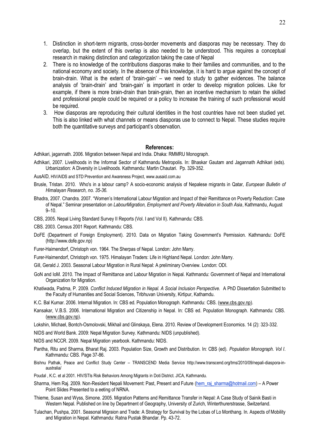- 1. Distinction in short-term migrants, cross-border movements and diasporas may be necessary. They do overlap, but the extent of this overlap is also needed to be understood. This requires a conceptual research in making distinction and categorization taking the case of Nepal
- 2. There is no knowledge of the contributions diasporas make to their families and communities, and to the national economy and society. In the absence of this knowledge, it is hard to argue against the concept of brain-drain. What is the extent of "brain-gain" – we need to study to gather evidences. The balance analysis of "brain-drain" and "brain-gain" is important in order to develop migration policies. Like for example, if there is more brain-drain than brain-grain, then an incentive mechanism to retain the skilled and professional people could be required or a policy to increase the training of such professional would be required.
- 3. How diasporas are reproducing their cultural identities in the host countries have not been studied yet. This is also linked with what channels or means diasporas use to connect to Nepal. These studies require both the quantitative surveys and participant's observation.

#### **References:**

Adhikari, jagannath. 2006. Migration between Nepal and India. Dhaka: RMMRU Monograph.

Adhikari, 2007. Livelihoods in the Informal Sector of Kathmandu Metropolis. In: Bhaskar Gautam and Jagannath Adhikari (eds). Urbanization: A Diversity in Livelihoods. Kathmandu: Martin Chautari. Pp. 329-352.

AusAID, HIV/AIDS and STD Prevention and Awareness Project, www.ausaid.com.au

- Brusle, Tristan. 2010. Who's in a labour camp? A socio-economic analysis of Nepalese migrants in Qatar*, European Bulletin of Himalayan Research, no. 35-36.*
- Bhadra, 2007. Chandra. 2007. "Women"s International Labour Migration and Impact of their Remittance on Poverty Reduction: Case of Nepal." Seminar presentation on *LabourMigration, Employment and Poverty Alleviation in South Asia*, Kathmandu, August  $9 - 10$
- CBS, 2005. Nepal Living Standard Survey II Reports (Vol. I and Vol II). Kathmandu: CBS.

CBS. 2003. Census 2001 Report. Kathmandu: CBS.

- DoFE (Department of Foreign Employment). 2010. Data on Migration Taking Government's Permission. Kathmandu: DoFE (http://www.dofe.gov.np)
- Furer-Haimendorf, Christoph von. 1964. The Sherpas of Nepal. London: John Marry.
- Furer-Haimendorf, Christoph von. 1975. Himalayan Traders: Life in Highland Nepal. London: John Marry.
- Gill, Gerald J. 2003. Seasonal Labour Migration in Rural Nepal: A preliminary Overview. London: ODI.
- GoN and IoM. 2010. The Impact of Remittance and Labour Migration in Nepal. Kathmandu: Government of Nepal and International Organization for Migration.
- Khatiwada, Padma, P. 2009. *Conflict Induced Migration in Nepal. A Social Inclusion Perspective.* A PhD Dissertation Submitted to the Faculty of Humanities and Social Sciences, Tribhuvan University, Kirtipur, Kathamdu.
- K.C. Bal Kumar. 2006. Internal Migration. In: CBS ed. Population Monograph. Kathmandu: CBS. [\(www.cbs.gov.np\)](http://www.cbs.gov.np/).
- Kansakar, V.B.S. 2006. International Migration and Citizenship in Nepal. In: CBS ed. Population Monograph. Kathmandu: CBS. [\(www.cbs.gov.np\)](http://www.cbs.gov.np/).
- Lokshin, Michael, Bontch-Osmolovski, Mikhail and Glinskaya, Elena. 2010. Review of Development Economics. 14 (2): 323-332.
- NIDS and World Bank. 2009: Nepal Migration Survey. Kathmandu: NIDS (unpublished).

NIDS and NCCR. 2009. Nepal Migration yearbook. Kathmandu: NIDS.

- Pantha, Ritu and Sharma, Bharat Raj. 2003. Population Size, Growth and Distribution. In: CBS (ed). *Population Monograph. Vol I*. Kathmandu: CBS. Page 37-86.
- Bishnu Pathak, Peace and Conflict Study Center TRANSCEND Media Service http://www.transcend.org/tms/2010/09/nepali-diaspora-inaustralia/
- Poudal , K.C. et al 2001. HIV/STIs Risk Behaviors Among Migrants in Doti District. JICA, Kathmandu.
- Sharma, Hem Raj. 2009. Non-Resident Nepali Movement: Past, Present and Future [\(hem\\_raj\\_sharma@hotmail.com\)](mailto:hem_raj_sharma@hotmail.com) A Power Point Slides Presented to a eeting of NRNA.
- Thieme, Susan and Wyss, Simone. 2005. Migration Patterns and Remittance Transfer in Nepal: A Case Study of Sainik Basti in Western Nepal. Published on line by Department of Geography, University of Zurich, Winterthurerstrasse, Switzerland.
- Tulachan, Pushpa, 2001. Seasonal Migraion and Trade: A Strategy for Survival by the Lobas of Lo Monthang. In. Aspects of Mobility and Migration in Nepal. Kathmandu: Ratna Pustak Bhandar. Pp. 43-72.